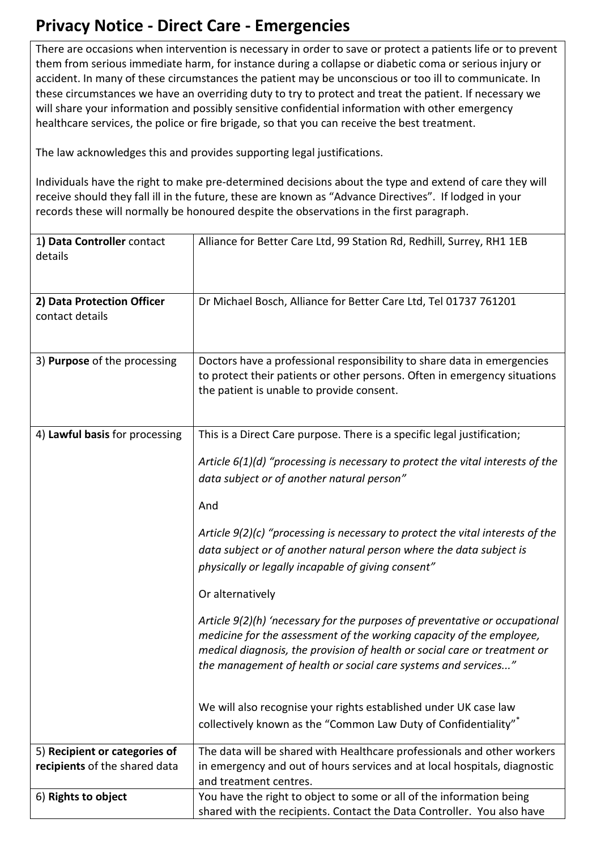## **Privacy Notice - Direct Care - Emergencies**

There are occasions when intervention is necessary in order to save or protect a patients life or to prevent them from serious immediate harm, for instance during a collapse or diabetic coma or serious injury or accident. In many of these circumstances the patient may be unconscious or too ill to communicate. In these circumstances we have an overriding duty to try to protect and treat the patient. If necessary we will share your information and possibly sensitive confidential information with other emergency healthcare services, the police or fire brigade, so that you can receive the best treatment.

The law acknowledges this and provides supporting legal justifications.

Individuals have the right to make pre-determined decisions about the type and extend of care they will receive should they fall ill in the future, these are known as "Advance Directives". If lodged in your records these will normally be honoured despite the observations in the first paragraph.

| 1) Data Controller contact<br>details | Alliance for Better Care Ltd, 99 Station Rd, Redhill, Surrey, RH1 1EB            |
|---------------------------------------|----------------------------------------------------------------------------------|
| 2) Data Protection Officer            | Dr Michael Bosch, Alliance for Better Care Ltd, Tel 01737 761201                 |
| contact details                       |                                                                                  |
|                                       |                                                                                  |
| 3) Purpose of the processing          | Doctors have a professional responsibility to share data in emergencies          |
|                                       | to protect their patients or other persons. Often in emergency situations        |
|                                       |                                                                                  |
|                                       | the patient is unable to provide consent.                                        |
|                                       |                                                                                  |
| 4) Lawful basis for processing        | This is a Direct Care purpose. There is a specific legal justification;          |
|                                       |                                                                                  |
|                                       | Article $6(1)(d)$ "processing is necessary to protect the vital interests of the |
|                                       |                                                                                  |
|                                       | data subject or of another natural person"                                       |
|                                       | And                                                                              |
|                                       |                                                                                  |
|                                       | Article $9(2)(c)$ "processing is necessary to protect the vital interests of the |
|                                       | data subject or of another natural person where the data subject is              |
|                                       |                                                                                  |
|                                       | physically or legally incapable of giving consent"                               |
|                                       | Or alternatively                                                                 |
|                                       | Article 9(2)(h) 'necessary for the purposes of preventative or occupational      |
|                                       | medicine for the assessment of the working capacity of the employee,             |
|                                       |                                                                                  |
|                                       | medical diagnosis, the provision of health or social care or treatment or        |
|                                       | the management of health or social care systems and services"                    |
|                                       |                                                                                  |
|                                       | We will also recognise your rights established under UK case law                 |
|                                       |                                                                                  |
|                                       | collectively known as the "Common Law Duty of Confidentiality"                   |
| 5) Recipient or categories of         | The data will be shared with Healthcare professionals and other workers          |
| recipients of the shared data         | in emergency and out of hours services and at local hospitals, diagnostic        |
|                                       | and treatment centres.                                                           |
| 6) Rights to object                   | You have the right to object to some or all of the information being             |
|                                       | shared with the recipients. Contact the Data Controller. You also have           |